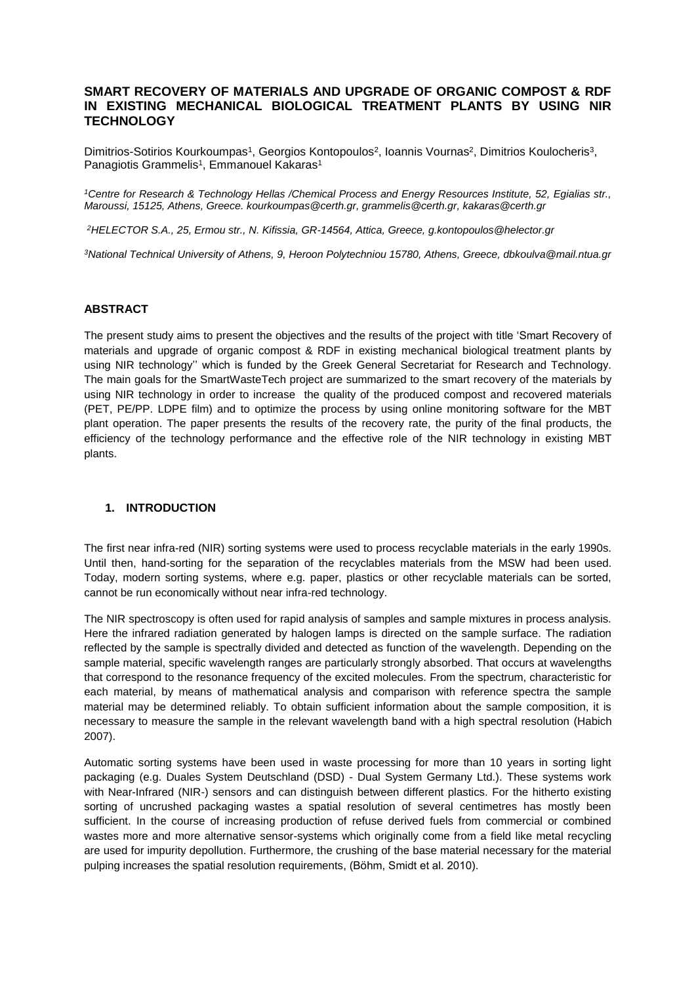## **SMART RECOVERY OF MATERIALS AND UPGRADE OF ORGANIC COMPOST & RDF IN EXISTING MECHANICAL BIOLOGICAL TREATMENT PLANTS BY USING NIR TECHNOLOGY**

Dimitrios-Sotirios Kourkoumpas<sup>1</sup>, Georgios Kontopoulos<sup>2</sup>, Ioannis Vournas<sup>2</sup>, Dimitrios Koulocheris<sup>3</sup>, Panagiotis Grammelis<sup>1</sup>, Emmanouel Kakaras<sup>1</sup>

*<sup>1</sup>Centre for Research & Technology Hellas /Chemical Process and Energy Resources Institute, 52, Egialias str., Maroussi, 15125, Athens, Greece. [kourkoumpas@certh.gr,](mailto:kourkoumpas@certh.gr) [grammelis@certh.gr,](mailto:grammelis@certh.gr) [kakaras@certh.gr](mailto:kakaras@certh.gr)*

*<sup>2</sup>HELECTOR S.A., 25, Ermou str., N. Kifissia, GR-14564, Attica, Greece, [g.kontopoulos@helector.gr](mailto:g.kontopoulos@helector.gr)*

*<sup>3</sup>National Technical University of Athens, 9, Heroon Polytechniou 15780, Athens, Greece[, dbkoulva@mail.ntua.gr](mailto:dbkoulva@mail.ntua.gr)*

#### **ABSTRACT**

The present study aims to present the objectives and the results of the project with title 'Smart Recovery of materials and upgrade of organic compost & RDF in existing mechanical biological treatment plants by using NIR technology'' which is funded by the Greek General Secretariat for Research and Technology. The main goals for the SmartWasteTech project are summarized to the smart recovery of the materials by using NIR technology in order to increase the quality of the produced compost and recovered materials (PET, PE/PP. LDPE film) and to optimize the process by using online monitoring software for the MBT plant operation. The paper presents the results of the recovery rate, the purity of the final products, the efficiency of the technology performance and the effective role of the NIR technology in existing MBT plants.

### **1. INTRODUCTION**

The first near infra-red (NIR) sorting systems were used to process recyclable materials in the early 1990s. Until then, hand-sorting for the separation of the recyclables materials from the MSW had been used. Today, modern sorting systems, where e.g. paper, plastics or other recyclable materials can be sorted, cannot be run economically without near infra-red technology.

The NIR spectroscopy is often used for rapid analysis of samples and sample mixtures in process analysis. Here the infrared radiation generated by halogen lamps is directed on the sample surface. The radiation reflected by the sample is spectrally divided and detected as function of the wavelength. Depending on the sample material, specific wavelength ranges are particularly strongly absorbed. That occurs at wavelengths that correspond to the resonance frequency of the excited molecules. From the spectrum, characteristic for each material, by means of mathematical analysis and comparison with reference spectra the sample material may be determined reliably. To obtain sufficient information about the sample composition, it is necessary to measure the sample in the relevant wavelength band with a high spectral resolution [\(Habich](#page-5-0)  [2007\)](#page-5-0).

Automatic sorting systems have been used in waste processing for more than 10 years in sorting light packaging (e.g. Duales System Deutschland (DSD) - Dual System Germany Ltd.). These systems work with Near-Infrared (NIR-) sensors and can distinguish between different plastics. For the hitherto existing sorting of uncrushed packaging wastes a spatial resolution of several centimetres has mostly been sufficient. In the course of increasing production of refuse derived fuels from commercial or combined wastes more and more alternative sensor-systems which originally come from a field like metal recycling are used for impurity depollution. Furthermore, the crushing of the base material necessary for the material pulping increases the spatial resolution requirements, [\(Böhm, Smidt et al. 2010\)](#page-5-1).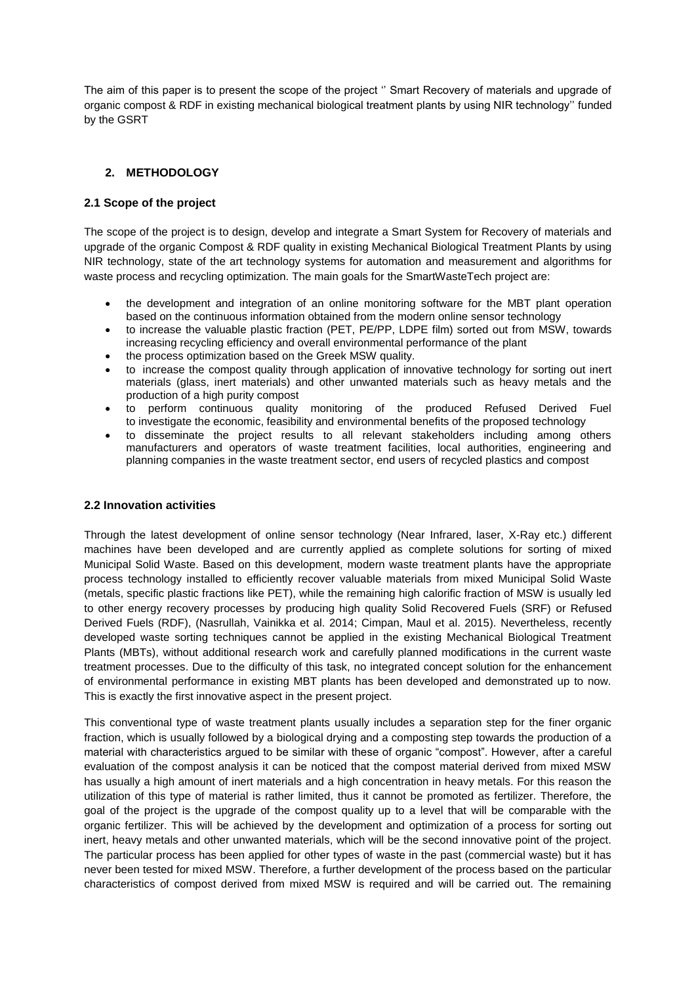The aim of this paper is to present the scope of the project '' Smart Recovery of materials and upgrade of organic compost & RDF in existing mechanical biological treatment plants by using NIR technology'' funded by the GSRT

## **2. METHODOLOGY**

### **2.1 Scope of the project**

The scope of the project is to design, develop and integrate a Smart System for Recovery of materials and upgrade of the organic Compost & RDF quality in existing Mechanical Biological Treatment Plants by using NIR technology, state of the art technology systems for automation and measurement and algorithms for waste process and recycling optimization. The main goals for the SmartWasteTech project are:

- the development and integration of an online monitoring software for the MBT plant operation based on the continuous information obtained from the modern online sensor technology
- to increase the valuable plastic fraction (PET, PE/PP, LDPE film) sorted out from MSW, towards increasing recycling efficiency and overall environmental performance of the plant
- the process optimization based on the Greek MSW quality.
- to increase the compost quality through application of innovative technology for sorting out inert materials (glass, inert materials) and other unwanted materials such as heavy metals and the production of a high purity compost
- to perform continuous quality monitoring of the produced Refused Derived Fuel to investigate the economic, feasibility and environmental benefits of the proposed technology
- to disseminate the project results to all relevant stakeholders including among others manufacturers and operators of waste treatment facilities, local authorities, engineering and planning companies in the waste treatment sector, end users of recycled plastics and compost

#### **2.2 Innovation activities**

Through the latest development of online sensor technology (Near Infrared, laser, X-Ray etc.) different machines have been developed and are currently applied as complete solutions for sorting of mixed Municipal Solid Waste. Based on this development, modern waste treatment plants have the appropriate process technology installed to efficiently recover valuable materials from mixed Municipal Solid Waste (metals, specific plastic fractions like PET), while the remaining high calorific fraction of MSW is usually led to other energy recovery processes by producing high quality Solid Recovered Fuels (SRF) or Refused Derived Fuels (RDF), [\(Nasrullah, Vainikka et al. 2014;](#page-5-2) [Cimpan, Maul et al. 2015\)](#page-5-3). Nevertheless, recently developed waste sorting techniques cannot be applied in the existing Mechanical Biological Treatment Plants (MBTs), without additional research work and carefully planned modifications in the current waste treatment processes. Due to the difficulty of this task, no integrated concept solution for the enhancement of environmental performance in existing MBT plants has been developed and demonstrated up to now. This is exactly the first innovative aspect in the present project.

This conventional type of waste treatment plants usually includes a separation step for the finer organic fraction, which is usually followed by a biological drying and a composting step towards the production of a material with characteristics argued to be similar with these of organic "compost". However, after a careful evaluation of the compost analysis it can be noticed that the compost material derived from mixed MSW has usually a high amount of inert materials and a high concentration in heavy metals. For this reason the utilization of this type of material is rather limited, thus it cannot be promoted as fertilizer. Therefore, the goal of the project is the upgrade of the compost quality up to a level that will be comparable with the organic fertilizer. This will be achieved by the development and optimization of a process for sorting out inert, heavy metals and other unwanted materials, which will be the second innovative point of the project. The particular process has been applied for other types of waste in the past (commercial waste) but it has never been tested for mixed MSW. Therefore, a further development of the process based on the particular characteristics of compost derived from mixed MSW is required and will be carried out. The remaining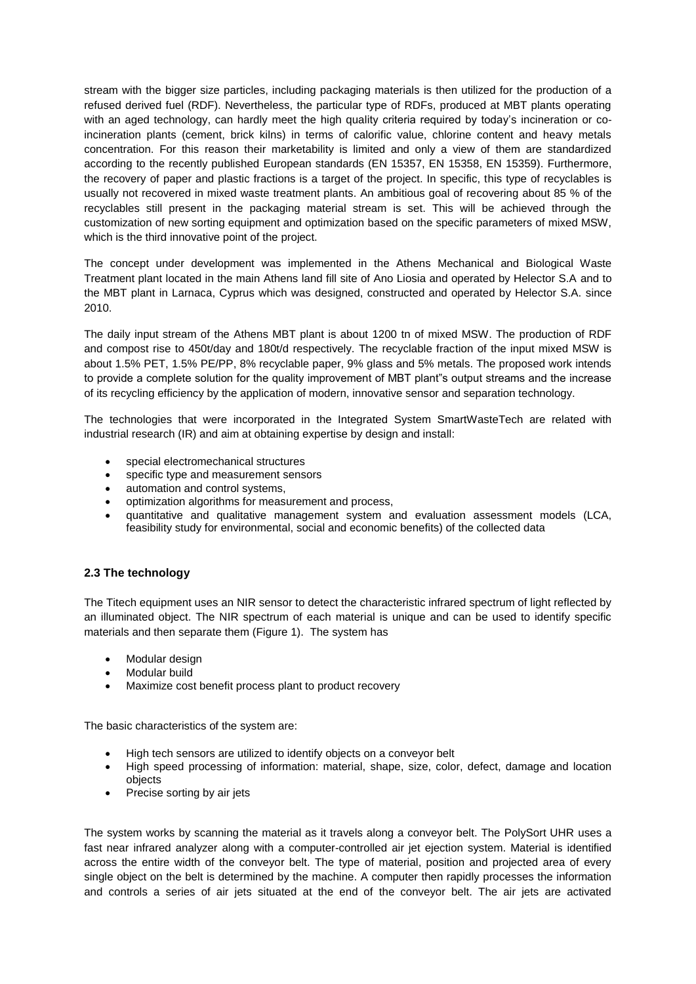stream with the bigger size particles, including packaging materials is then utilized for the production of a refused derived fuel (RDF). Nevertheless, the particular type of RDFs, produced at MBT plants operating with an aged technology, can hardly meet the high quality criteria required by today's incineration or coincineration plants (cement, brick kilns) in terms of calorific value, chlorine content and heavy metals concentration. For this reason their marketability is limited and only a view of them are standardized according to the recently published European standards (EN 15357, EN 15358, EN 15359). Furthermore, the recovery of paper and plastic fractions is a target of the project. In specific, this type of recyclables is usually not recovered in mixed waste treatment plants. An ambitious goal of recovering about 85 % of the recyclables still present in the packaging material stream is set. This will be achieved through the customization of new sorting equipment and optimization based on the specific parameters of mixed MSW, which is the third innovative point of the project.

The concept under development was implemented in the Athens Mechanical and Biological Waste Treatment plant located in the main Athens land fill site of Ano Liosia and operated by Helector S.A and to the MBT plant in Larnaca, Cyprus which was designed, constructed and operated by Helector S.A. since 2010.

The daily input stream of the Athens MBT plant is about 1200 tn of mixed MSW. The production of RDF and compost rise to 450t/day and 180t/d respectively. The recyclable fraction of the input mixed MSW is about 1.5% PET, 1.5% PE/PP, 8% recyclable paper, 9% glass and 5% metals. The proposed work intends to provide a complete solution for the quality improvement of MBT plant"s output streams and the increase of its recycling efficiency by the application of modern, innovative sensor and separation technology.

The technologies that were incorporated in the Integrated System SmartWasteTech are related with industrial research (IR) and aim at obtaining expertise by design and install:

- special electromechanical structures
- specific type and measurement sensors
- automation and control systems,
- optimization algorithms for measurement and process,
- quantitative and qualitative management system and evaluation assessment models (LCA, feasibility study for environmental, social and economic benefits) of the collected data

### **2.3 The technology**

The Titech equipment uses an NIR sensor to detect the characteristic infrared spectrum of light reflected by an illuminated object. The NIR spectrum of each material is unique and can be used to identify specific materials and then separate them (Figure 1). The system has

- Modular design
- Modular build
- Maximize cost benefit process plant to product recovery

The basic characteristics of the system are:

- High tech sensors are utilized to identify objects on a conveyor belt
- High speed processing of information: material, shape, size, color, defect, damage and location objects
- Precise sorting by air jets

The system works by scanning the material as it travels along a conveyor belt. The PolySort UHR uses a fast near infrared analyzer along with a computer-controlled air jet ejection system. Material is identified across the entire width of the conveyor belt. The type of material, position and projected area of every single object on the belt is determined by the machine. A computer then rapidly processes the information and controls a series of air jets situated at the end of the conveyor belt. The air jets are activated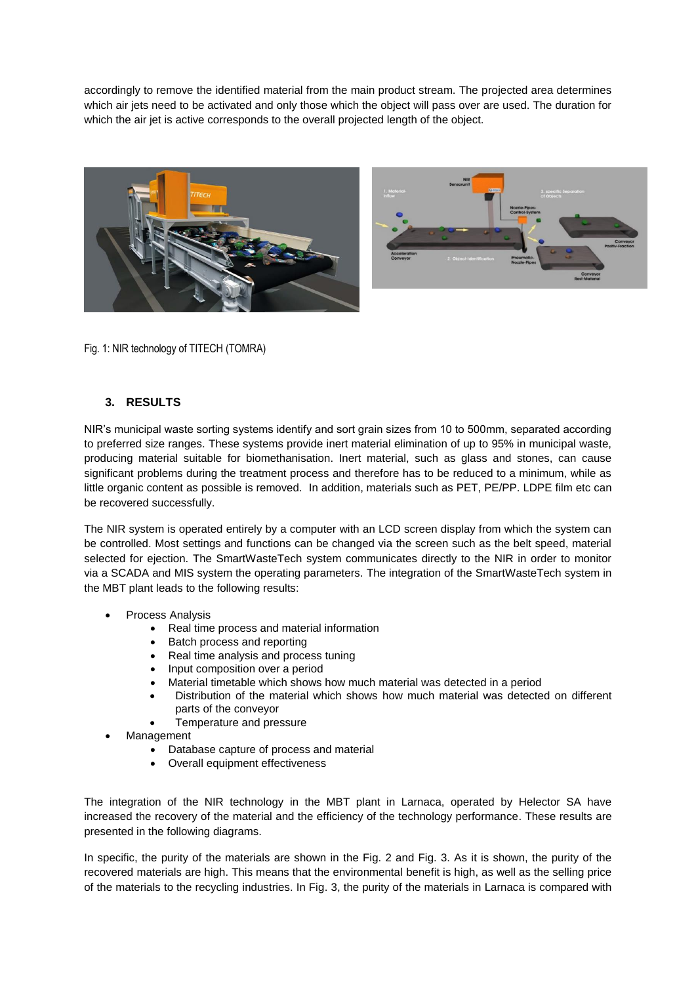accordingly to remove the identified material from the main product stream. The projected area determines which air jets need to be activated and only those which the object will pass over are used. The duration for which the air jet is active corresponds to the overall projected length of the object.



Fig. 1: NIR technology of TITECH [\(TOMRA\)](#page-5-4)

#### **3. RESULTS**

NIR's municipal waste sorting systems identify and sort grain sizes from 10 to 500mm, separated according to preferred size ranges. These systems provide inert material elimination of up to 95% in municipal waste, producing material suitable for biomethanisation. Inert material, such as glass and stones, can cause significant problems during the treatment process and therefore has to be reduced to a minimum, while as little organic content as possible is removed. In addition, materials such as PET, PE/PP. LDPE film etc can be recovered successfully.

The NIR system is operated entirely by a computer with an LCD screen display from which the system can be controlled. Most settings and functions can be changed via the screen such as the belt speed, material selected for ejection. The SmartWasteTech system communicates directly to the NIR in order to monitor via a SCADA and MIS system the operating parameters. The integration of the SmartWasteTech system in the MBT plant leads to the following results:

- Process Analysis
	- Real time process and material information
	- Batch process and reporting
	- Real time analysis and process tuning
	- Input composition over a period
	- Material timetable which shows how much material was detected in a period
	- Distribution of the material which shows how much material was detected on different parts of the conveyor
	- Temperature and pressure
- Management
	- Database capture of process and material
	- Overall equipment effectiveness

The integration of the NIR technology in the MBT plant in Larnaca, operated by Helector SA have increased the recovery of the material and the efficiency of the technology performance. These results are presented in the following diagrams.

In specific, the purity of the materials are shown in the Fig. 2 and Fig. 3. As it is shown, the purity of the recovered materials are high. This means that the environmental benefit is high, as well as the selling price of the materials to the recycling industries. In Fig. 3, the purity of the materials in Larnaca is compared with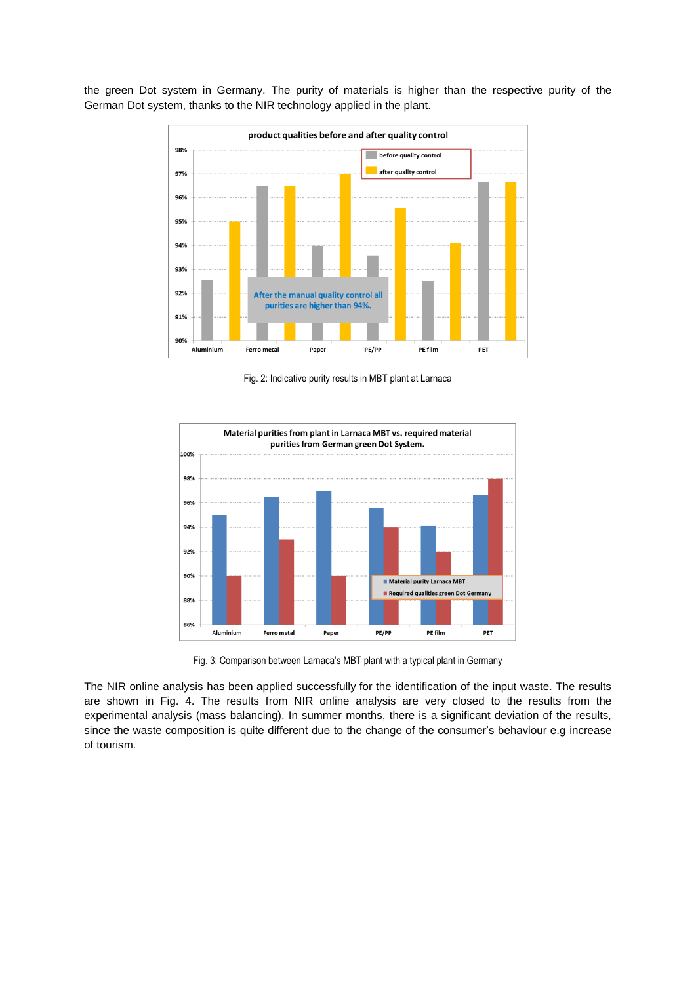the green Dot system in Germany. The purity of materials is higher than the respective purity of the German Dot system, thanks to the NIR technology applied in the plant.



Fig. 2: Indicative purity results in MBT plant at Larnaca



Fig. 3: Comparison between Larnaca's MBT plant with a typical plant in Germany

The NIR online analysis has been applied successfully for the identification of the input waste. The results are shown in Fig. 4. The results from NIR online analysis are very closed to the results from the experimental analysis (mass balancing). In summer months, there is a significant deviation of the results, since the waste composition is quite different due to the change of the consumer's behaviour e.g increase of tourism.